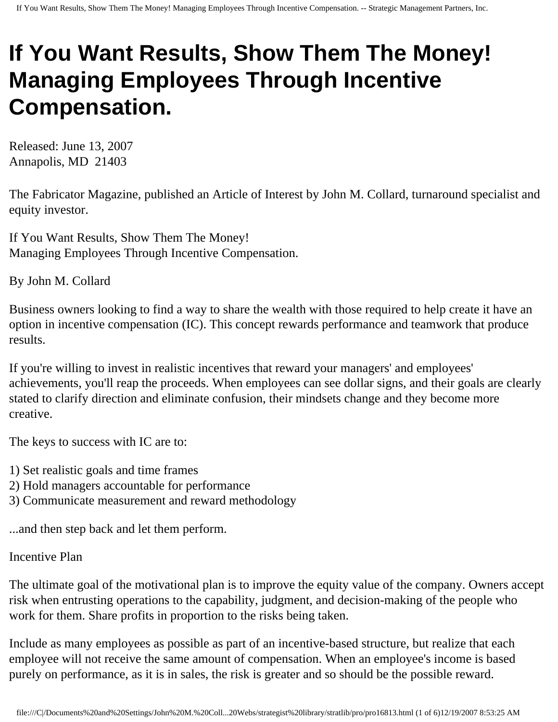## **If You Want Results, Show Them The Money! Managing Employees Through Incentive Compensation.**

Released: June 13, 2007 Annapolis, MD 21403

The Fabricator Magazine, published an Article of Interest by John M. Collard, turnaround specialist and equity investor.

If You Want Results, Show Them The Money! Managing Employees Through Incentive Compensation.

By John M. Collard

Business owners looking to find a way to share the wealth with those required to help create it have an option in incentive compensation (IC). This concept rewards performance and teamwork that produce results.

If you're willing to invest in realistic incentives that reward your managers' and employees' achievements, you'll reap the proceeds. When employees can see dollar signs, and their goals are clearly stated to clarify direction and eliminate confusion, their mindsets change and they become more creative.

The keys to success with IC are to:

- 1) Set realistic goals and time frames
- 2) Hold managers accountable for performance
- 3) Communicate measurement and reward methodology

...and then step back and let them perform.

## Incentive Plan

The ultimate goal of the motivational plan is to improve the equity value of the company. Owners accept risk when entrusting operations to the capability, judgment, and decision-making of the people who work for them. Share profits in proportion to the risks being taken.

Include as many employees as possible as part of an incentive-based structure, but realize that each employee will not receive the same amount of compensation. When an employee's income is based purely on performance, as it is in sales, the risk is greater and so should be the possible reward.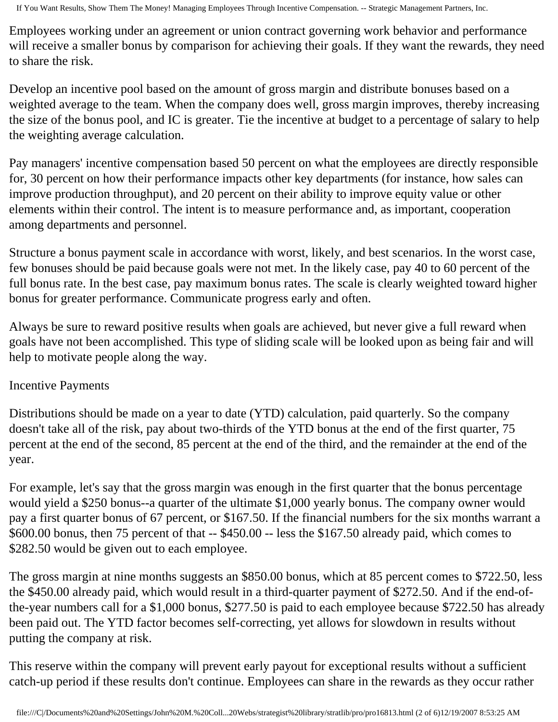Employees working under an agreement or union contract governing work behavior and performance will receive a smaller bonus by comparison for achieving their goals. If they want the rewards, they need to share the risk.

Develop an incentive pool based on the amount of gross margin and distribute bonuses based on a weighted average to the team. When the company does well, gross margin improves, thereby increasing the size of the bonus pool, and IC is greater. Tie the incentive at budget to a percentage of salary to help the weighting average calculation.

Pay managers' incentive compensation based 50 percent on what the employees are directly responsible for, 30 percent on how their performance impacts other key departments (for instance, how sales can improve production throughput), and 20 percent on their ability to improve equity value or other elements within their control. The intent is to measure performance and, as important, cooperation among departments and personnel.

Structure a bonus payment scale in accordance with worst, likely, and best scenarios. In the worst case, few bonuses should be paid because goals were not met. In the likely case, pay 40 to 60 percent of the full bonus rate. In the best case, pay maximum bonus rates. The scale is clearly weighted toward higher bonus for greater performance. Communicate progress early and often.

Always be sure to reward positive results when goals are achieved, but never give a full reward when goals have not been accomplished. This type of sliding scale will be looked upon as being fair and will help to motivate people along the way.

## Incentive Payments

Distributions should be made on a year to date (YTD) calculation, paid quarterly. So the company doesn't take all of the risk, pay about two-thirds of the YTD bonus at the end of the first quarter, 75 percent at the end of the second, 85 percent at the end of the third, and the remainder at the end of the year.

For example, let's say that the gross margin was enough in the first quarter that the bonus percentage would yield a \$250 bonus--a quarter of the ultimate \$1,000 yearly bonus. The company owner would pay a first quarter bonus of 67 percent, or \$167.50. If the financial numbers for the six months warrant a \$600.00 bonus, then 75 percent of that -- \$450.00 -- less the \$167.50 already paid, which comes to \$282.50 would be given out to each employee.

The gross margin at nine months suggests an \$850.00 bonus, which at 85 percent comes to \$722.50, less the \$450.00 already paid, which would result in a third-quarter payment of \$272.50. And if the end-ofthe-year numbers call for a \$1,000 bonus, \$277.50 is paid to each employee because \$722.50 has already been paid out. The YTD factor becomes self-correcting, yet allows for slowdown in results without putting the company at risk.

This reserve within the company will prevent early payout for exceptional results without a sufficient catch-up period if these results don't continue. Employees can share in the rewards as they occur rather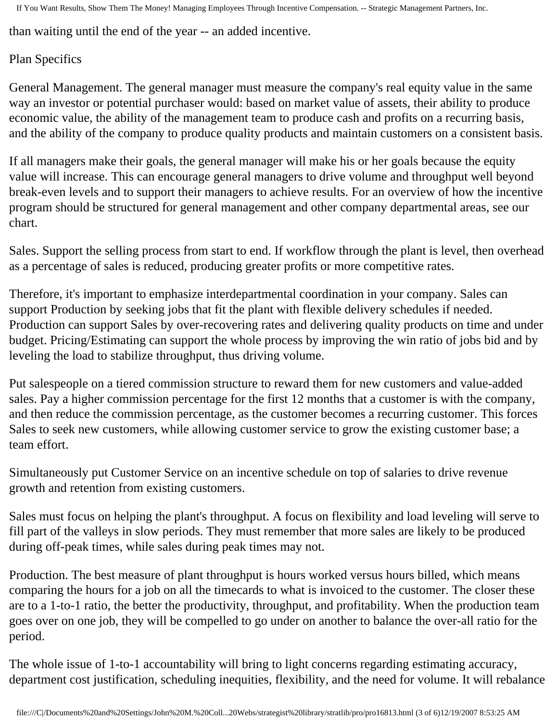than waiting until the end of the year -- an added incentive.

## Plan Specifics

General Management. The general manager must measure the company's real equity value in the same way an investor or potential purchaser would: based on market value of assets, their ability to produce economic value, the ability of the management team to produce cash and profits on a recurring basis, and the ability of the company to produce quality products and maintain customers on a consistent basis.

If all managers make their goals, the general manager will make his or her goals because the equity value will increase. This can encourage general managers to drive volume and throughput well beyond break-even levels and to support their managers to achieve results. For an overview of how the incentive program should be structured for general management and other company departmental areas, see our chart.

Sales. Support the selling process from start to end. If workflow through the plant is level, then overhead as a percentage of sales is reduced, producing greater profits or more competitive rates.

Therefore, it's important to emphasize interdepartmental coordination in your company. Sales can support Production by seeking jobs that fit the plant with flexible delivery schedules if needed. Production can support Sales by over-recovering rates and delivering quality products on time and under budget. Pricing/Estimating can support the whole process by improving the win ratio of jobs bid and by leveling the load to stabilize throughput, thus driving volume.

Put salespeople on a tiered commission structure to reward them for new customers and value-added sales. Pay a higher commission percentage for the first 12 months that a customer is with the company, and then reduce the commission percentage, as the customer becomes a recurring customer. This forces Sales to seek new customers, while allowing customer service to grow the existing customer base; a team effort.

Simultaneously put Customer Service on an incentive schedule on top of salaries to drive revenue growth and retention from existing customers.

Sales must focus on helping the plant's throughput. A focus on flexibility and load leveling will serve to fill part of the valleys in slow periods. They must remember that more sales are likely to be produced during off-peak times, while sales during peak times may not.

Production. The best measure of plant throughput is hours worked versus hours billed, which means comparing the hours for a job on all the timecards to what is invoiced to the customer. The closer these are to a 1-to-1 ratio, the better the productivity, throughput, and profitability. When the production team goes over on one job, they will be compelled to go under on another to balance the over-all ratio for the period.

The whole issue of 1-to-1 accountability will bring to light concerns regarding estimating accuracy, department cost justification, scheduling inequities, flexibility, and the need for volume. It will rebalance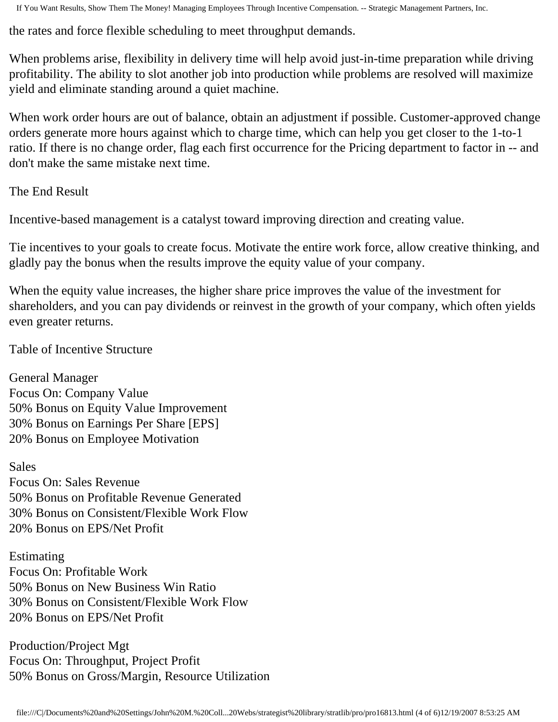the rates and force flexible scheduling to meet throughput demands.

When problems arise, flexibility in delivery time will help avoid just-in-time preparation while driving profitability. The ability to slot another job into production while problems are resolved will maximize yield and eliminate standing around a quiet machine.

When work order hours are out of balance, obtain an adjustment if possible. Customer-approved change orders generate more hours against which to charge time, which can help you get closer to the 1-to-1 ratio. If there is no change order, flag each first occurrence for the Pricing department to factor in -- and don't make the same mistake next time.

The End Result

Incentive-based management is a catalyst toward improving direction and creating value.

Tie incentives to your goals to create focus. Motivate the entire work force, allow creative thinking, and gladly pay the bonus when the results improve the equity value of your company.

When the equity value increases, the higher share price improves the value of the investment for shareholders, and you can pay dividends or reinvest in the growth of your company, which often yields even greater returns.

Table of Incentive Structure

General Manager Focus On: Company Value 50% Bonus on Equity Value Improvement 30% Bonus on Earnings Per Share [EPS] 20% Bonus on Employee Motivation

Sales Focus On: Sales Revenue 50% Bonus on Profitable Revenue Generated 30% Bonus on Consistent/Flexible Work Flow 20% Bonus on EPS/Net Profit

Estimating Focus On: Profitable Work 50% Bonus on New Business Win Ratio 30% Bonus on Consistent/Flexible Work Flow 20% Bonus on EPS/Net Profit

Production/Project Mgt Focus On: Throughput, Project Profit 50% Bonus on Gross/Margin, Resource Utilization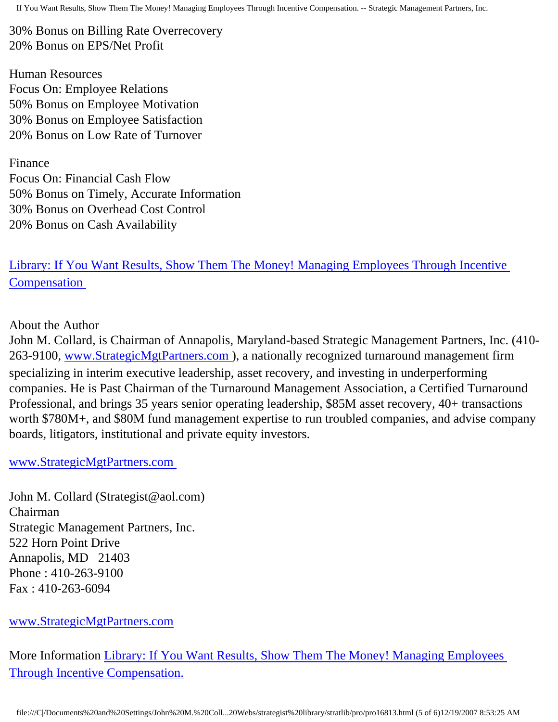30% Bonus on Billing Rate Overrecovery 20% Bonus on EPS/Net Profit

Human Resources Focus On: Employee Relations 50% Bonus on Employee Motivation 30% Bonus on Employee Satisfaction 20% Bonus on Low Rate of Turnover

Finance Focus On: Financial Cash Flow 50% Bonus on Timely, Accurate Information 30% Bonus on Overhead Cost Control 20% Bonus on Cash Availability

[Library: If You Want Results, Show Them The Money! Managing Employees Through Incentive](http://members.aol.com/stratlib3/ibmfab.html) **Compensation** 

About the Author

John M. Collard, is Chairman of Annapolis, Maryland-based Strategic Management Partners, Inc. (410- 263-9100, [www.StrategicMgtPartners.com](http://www.strategicmgtpartners.com/) ), a nationally recognized turnaround management firm specializing in interim executive leadership, asset recovery, and investing in underperforming companies. He is Past Chairman of the Turnaround Management Association, a Certified Turnaround Professional, and brings 35 years senior operating leadership, \$85M asset recovery, 40+ transactions worth \$780M+, and \$80M fund management expertise to run troubled companies, and advise company boards, litigators, institutional and private equity investors.

[www.StrategicMgtPartners.com](http://www.strategicmgtpartners.com/)

John M. Collard (Strategist@aol.com) Chairman Strategic Management Partners, Inc. 522 Horn Point Drive Annapolis, MD 21403 Phone : 410-263-9100 Fax : 410-263-6094

[www.StrategicMgtPartners.com](http://www.strategicmgtpartners.com/)

More Information [Library: If You Want Results, Show Them The Money! Managing Employees](http://members.aol.com/stratlib3/ibmfab.html) [Through Incentive Compensation.](http://members.aol.com/stratlib3/ibmfab.html)